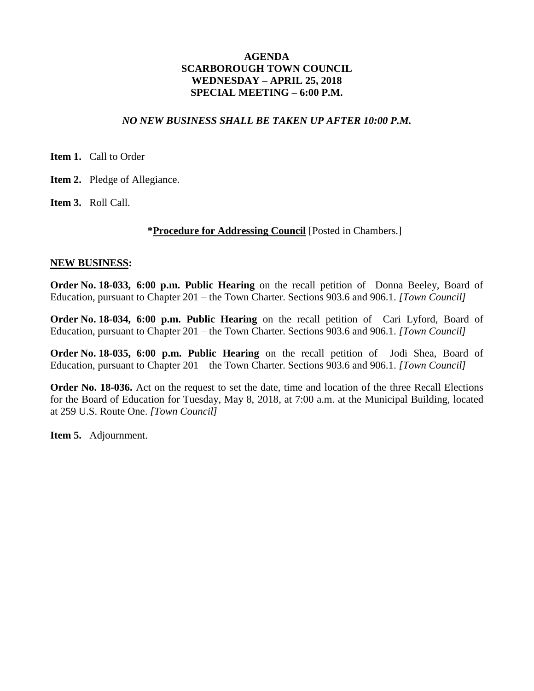### *NO NEW BUSINESS SHALL BE TAKEN UP AFTER 10:00 P.M.*

**Item 1.** Call to Order

**Item 2.** Pledge of Allegiance.

**Item 3.** Roll Call.

#### **\*Procedure for Addressing Council** [Posted in Chambers.]

#### **NEW BUSINESS:**

**Order No. 18-033, 6:00 p.m. Public Hearing** on the recall petition of Donna Beeley, Board of Education, pursuant to Chapter 201 – the Town Charter. Sections 903.6 and 906.1. *[Town Council]*

**Order No. 18-034, 6:00 p.m. Public Hearing** on the recall petition of Cari Lyford, Board of Education, pursuant to Chapter 201 – the Town Charter. Sections 903.6 and 906.1. *[Town Council]*

**Order No. 18-035, 6:00 p.m. Public Hearing** on the recall petition of Jodi Shea, Board of Education, pursuant to Chapter 201 – the Town Charter. Sections 903.6 and 906.1. *[Town Council]*

**Order No. 18-036.** Act on the request to set the date, time and location of the three Recall Elections for the Board of Education for Tuesday, May 8, 2018, at 7:00 a.m. at the Municipal Building, located at 259 U.S. Route One. *[Town Council]*

**Item 5.** Adjournment.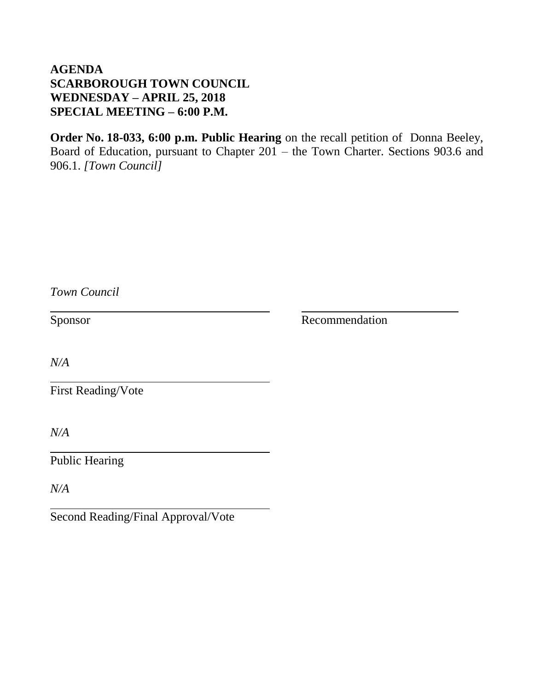**Order No. 18-033, 6:00 p.m. Public Hearing** on the recall petition of Donna Beeley, Board of Education, pursuant to Chapter 201 – the Town Charter. Sections 903.6 and 906.1. *[Town Council]*

| Town Council                       |                |
|------------------------------------|----------------|
| Sponsor                            | Recommendation |
| N/A                                |                |
| <b>First Reading/Vote</b>          |                |
| N/A                                |                |
| <b>Public Hearing</b>              |                |
| N/A                                |                |
| Second Reading/Final Approval/Vote |                |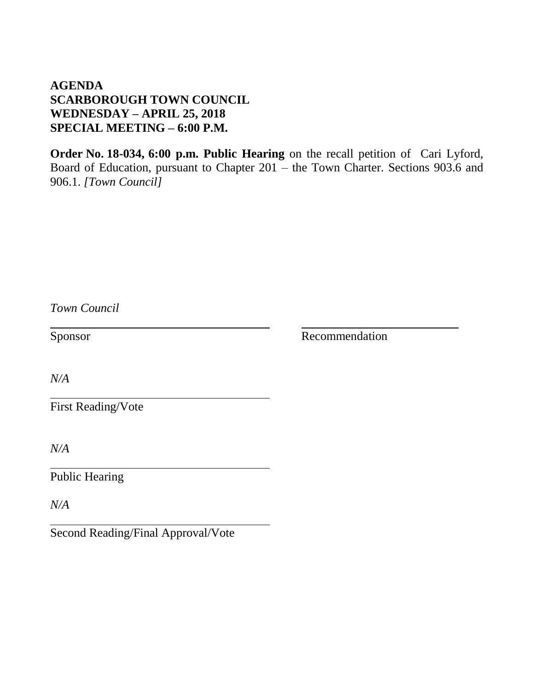**Order No. 18-034, 6:00 p.m. Public Hearing** on the recall petition of Cari Lyford, Board of Education, pursuant to Chapter 201 – the Town Charter. Sections 903.6 and 906.1. *[Town Council]*

| Town Council          |                |
|-----------------------|----------------|
| Sponsor               | Recommendation |
| N/A                   |                |
| First Reading/Vote    |                |
| N/A                   |                |
| <b>Public Hearing</b> |                |
| N/A                   |                |

Second Reading/Final Approval/Vote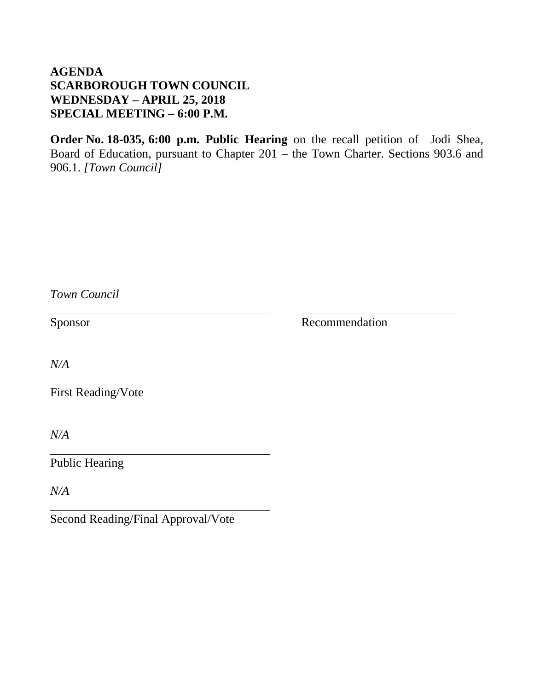**Order No. 18-035, 6:00 p.m. Public Hearing** on the recall petition of Jodi Shea, Board of Education, pursuant to Chapter 201 – the Town Charter. Sections 903.6 and 906.1. *[Town Council]*

| Town Council                       |                |
|------------------------------------|----------------|
| Sponsor                            | Recommendation |
| N/A                                |                |
| <b>First Reading/Vote</b>          |                |
| N/A                                |                |
| <b>Public Hearing</b>              |                |
| N/A                                |                |
| Second Reading/Final Approval/Vote |                |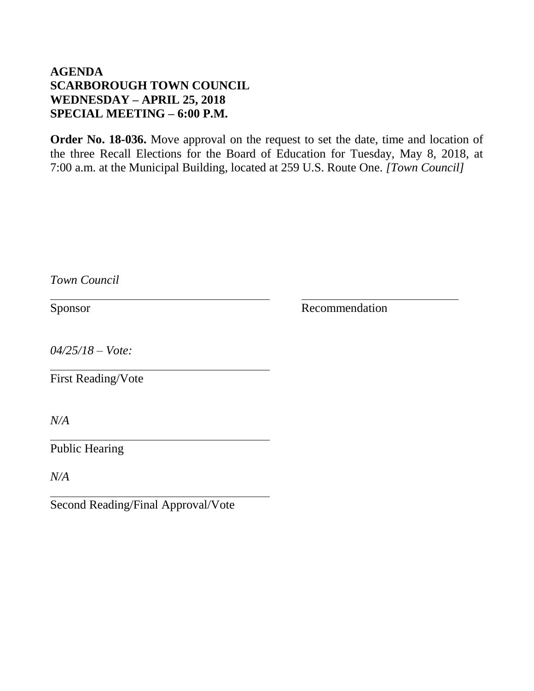**Order No. 18-036.** Move approval on the request to set the date, time and location of the three Recall Elections for the Board of Education for Tuesday, May 8, 2018, at 7:00 a.m. at the Municipal Building, located at 259 U.S. Route One. *[Town Council]*

| Town Council                       |                |
|------------------------------------|----------------|
| Sponsor                            | Recommendation |
| $04/25/18 - Vote$                  |                |
| <b>First Reading/Vote</b>          |                |
| N/A                                |                |
| <b>Public Hearing</b>              |                |
| N/A                                |                |
| Second Reading/Final Approval/Vote |                |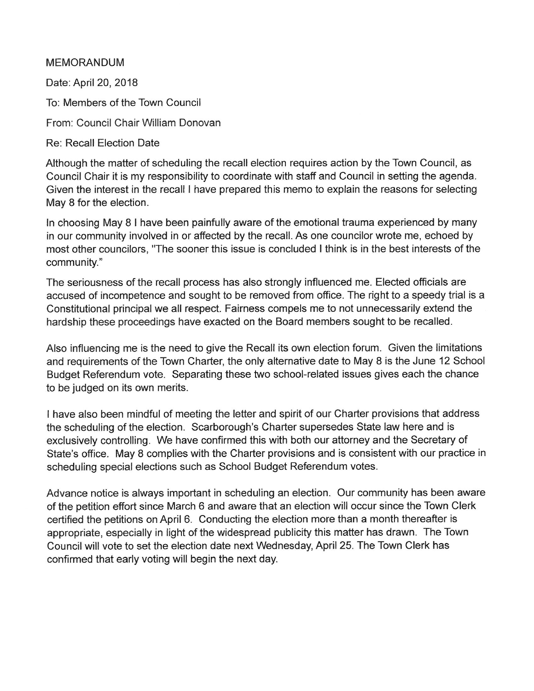### **MEMORANDUM**

Date: April 20, 2018

To: Members of the Town Council

From: Council Chair William Donovan

**Re: Recall Election Date** 

Although the matter of scheduling the recall election requires action by the Town Council, as Council Chair it is my responsibility to coordinate with staff and Council in setting the agenda. Given the interest in the recall I have prepared this memo to explain the reasons for selecting May 8 for the election.

In choosing May 8 I have been painfully aware of the emotional trauma experienced by many in our community involved in or affected by the recall. As one councilor wrote me, echoed by most other councilors, "The sooner this issue is concluded I think is in the best interests of the community."

The seriousness of the recall process has also strongly influenced me. Elected officials are accused of incompetence and sought to be removed from office. The right to a speedy trial is a Constitutional principal we all respect. Fairness compels me to not unnecessarily extend the hardship these proceedings have exacted on the Board members sought to be recalled.

Also influencing me is the need to give the Recall its own election forum. Given the limitations and requirements of the Town Charter, the only alternative date to May 8 is the June 12 School Budget Referendum vote. Separating these two school-related issues gives each the chance to be judged on its own merits.

I have also been mindful of meeting the letter and spirit of our Charter provisions that address the scheduling of the election. Scarborough's Charter supersedes State law here and is exclusively controlling. We have confirmed this with both our attorney and the Secretary of State's office. May 8 complies with the Charter provisions and is consistent with our practice in scheduling special elections such as School Budget Referendum votes.

Advance notice is always important in scheduling an election. Our community has been aware of the petition effort since March 6 and aware that an election will occur since the Town Clerk certified the petitions on April 6. Conducting the election more than a month thereafter is appropriate, especially in light of the widespread publicity this matter has drawn. The Town Council will vote to set the election date next Wednesday, April 25. The Town Clerk has confirmed that early voting will begin the next day.